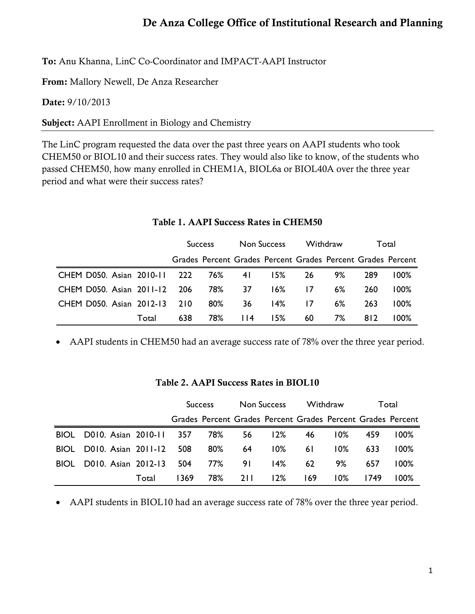## De Anza College Office of Institutional Research and Planning

To: Anu Khanna, LinC Co-Coordinator and IMPACT-AAPI Instructor

From: Mallory Newell, De Anza Researcher

Date: 9/10/2013

Subject: AAPI Enrollment in Biology and Chemistry

The LinC program requested the data over the past three years on AAPI students who took CHEM50 or BIOL10 and their success rates. They would also like to know, of the students who passed CHEM50, how many enrolled in CHEM1A, BIOL6a or BIOL40A over the three year period and what were their success rates?

|                                  |       | <b>Success</b> |        | Non Success |                                                             | Withdraw |       | Total |         |
|----------------------------------|-------|----------------|--------|-------------|-------------------------------------------------------------|----------|-------|-------|---------|
|                                  |       |                |        |             | Grades Percent Grades Percent Grades Percent Grades Percent |          |       |       |         |
| CHEM D050. Asian 2010-11 222 76% |       |                |        | 4 I         | l 5%                                                        | 26       | 9%    | 289   | $100\%$ |
| CHEM D050, Asian 2011-12 206     |       |                | 78%    | 37          | $16\%$                                                      | 17       | $6\%$ | 260   | $100\%$ |
| CHEM D050, Asian 2012-13         |       | 210            | $80\%$ | 36          | 14%                                                         | 17       | $6\%$ | 263   | $100\%$ |
|                                  | Total | 638            | 78%    | 114         | <b>15%</b>                                                  | 60       | 7%    | 812   | $100\%$ |

Table 1. AAPI Success Rates in CHEM50

• AAPI students in CHEM50 had an average success rate of 78% over the three year period.

|             |                         |       | <b>Success</b> |     | Non Success |                                                             | Withdraw |        | Total |         |
|-------------|-------------------------|-------|----------------|-----|-------------|-------------------------------------------------------------|----------|--------|-------|---------|
|             |                         |       |                |     |             | Grades Percent Grades Percent Grades Percent Grades Percent |          |        |       |         |
| <b>BIOL</b> | D010. Asian 2010-11 357 |       |                | 78% | 56          | 12%                                                         | 46       | $10\%$ | 459   | $100\%$ |
| <b>BIOL</b> | D010. Asian 2011-12     |       | 508            | 80% | 64          | $10\%$                                                      | 6 I      | $10\%$ | 633   | $100\%$ |
| <b>BIOL</b> | D010. Asian 2012-13     |       | 504            | 77% | 91          | 14%                                                         | 62       | 9%     | 657   | $100\%$ |
|             |                         | Total | 1369.          | 78% | 2 L L       | 12%                                                         | 169      | 0% ا   | 1749  | $00\%$  |

## Table 2. AAPI Success Rates in BIOL10

• AAPI students in BIOL10 had an average success rate of 78% over the three year period.